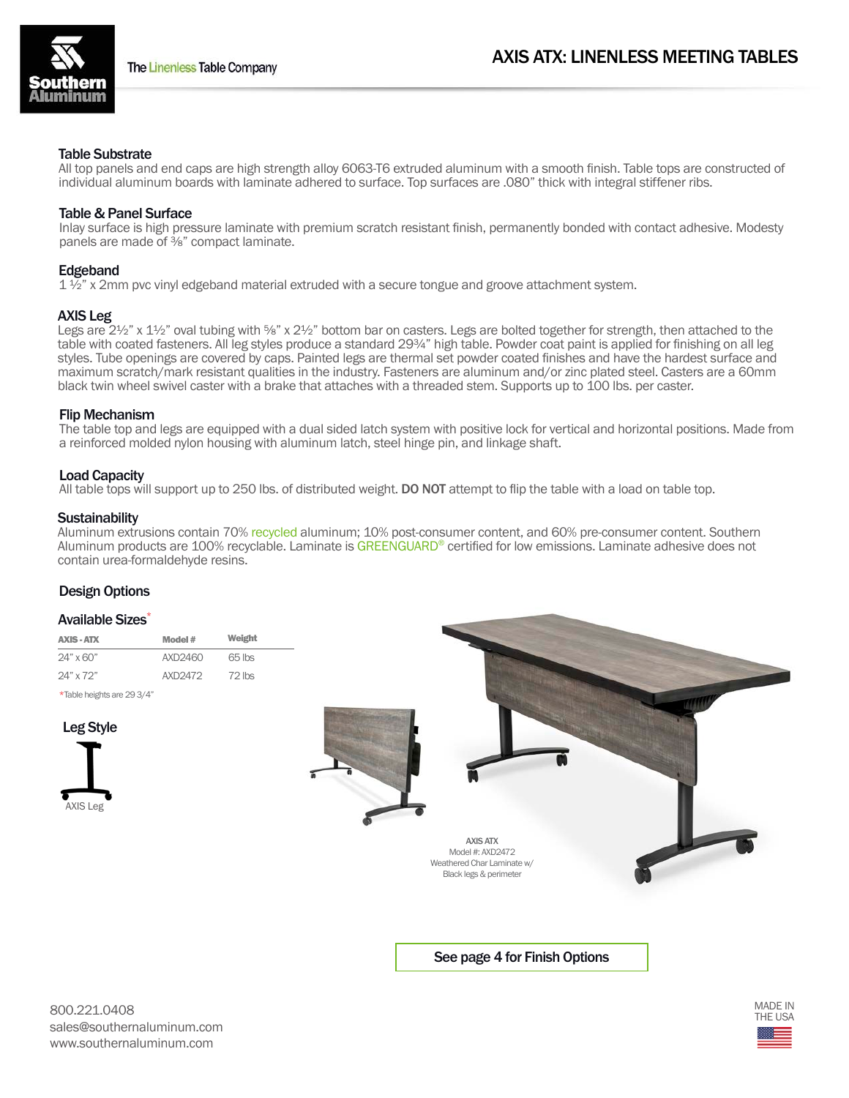

# Table Substrate

All top panels and end caps are high strength alloy 6063-T6 extruded aluminum with a smooth finish. Table tops are constructed of individual aluminum boards with laminate adhered to surface. Top surfaces are .080" thick with integral stiffener ribs.

# Table & Panel Surface

Inlay surface is high pressure laminate with premium scratch resistant finish, permanently bonded with contact adhesive. Modesty panels are made of ⅜" compact laminate.

# **Edgeband**

 $1\frac{1}{2}$ " x 2mm pvc vinyl edgeband material extruded with a secure tongue and groove attachment system.

# AXIS Leg

Legs are 2½" x 1½" oval tubing with %" x 2½" bottom bar on casters. Legs are bolted together for strength, then attached to the table with coated fasteners. All leg styles produce a standard 29<sup>3</sup>/4" high table. Powder coat paint is applied for finishing on all leg styles. Tube openings are covered by caps. Painted legs are thermal set powder coated finishes and have the hardest surface and maximum scratch/mark resistant qualities in the industry. Fasteners are aluminum and/or zinc plated steel. Casters are a 60mm black twin wheel swivel caster with a brake that attaches with a threaded stem. Supports up to 100 lbs. per caster.

# Flip Mechanism

The table top and legs are equipped with a dual sided latch system with positive lock for vertical and horizontal positions. Made from a reinforced molded nylon housing with aluminum latch, steel hinge pin, and linkage shaft.

# Load Capacity

All table tops will support up to 250 lbs. of distributed weight. DO NOT attempt to flip the table with a load on table top.

# **Sustainability**

Aluminum extrusions contain 70% recycled aluminum; 10% post-consumer content, and 60% pre-consumer content. Southern Aluminum products are 100% recyclable. Laminate is GREENGUARD® certified for low emissions. Laminate adhesive does not contain urea-formaldehyde resins.

# Design Options

#### Available Sizes\*

| <b>AXIS - ATX</b> | Model # | Weight   |
|-------------------|---------|----------|
| 24" x 60"         | AYD2460 | 65 lbs   |
| 24" x 72"         | AXD2472 | $72$ lbs |

\*Table heights are 29 3/4"







See page 4 for Finish Options

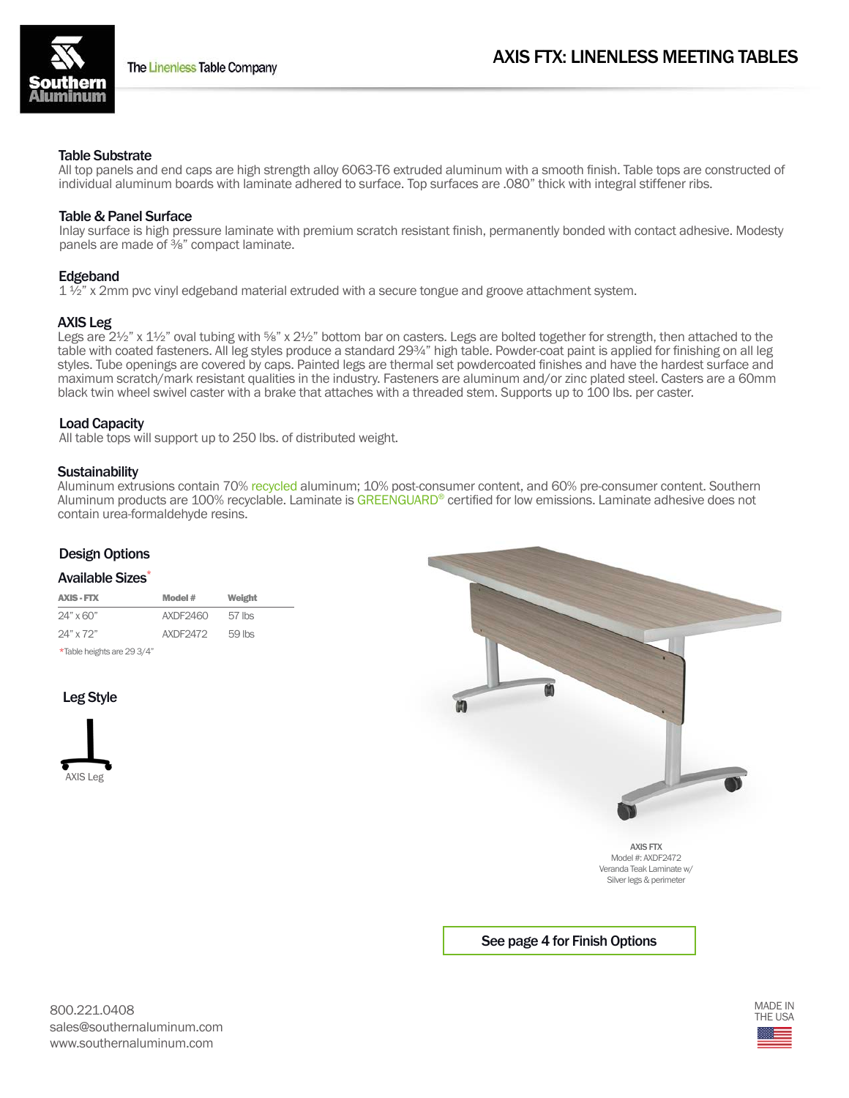

#### Table Substrate

All top panels and end caps are high strength alloy 6063-T6 extruded aluminum with a smooth finish. Table tops are constructed of individual aluminum boards with laminate adhered to surface. Top surfaces are .080" thick with integral stiffener ribs.

# Table & Panel Surface

Inlay surface is high pressure laminate with premium scratch resistant finish, permanently bonded with contact adhesive. Modesty panels are made of <sup>3</sup>/<sub>8</sub>" compact laminate.

# Edgeband

 $1\frac{1}{2}$  x 2mm pvc vinyl edgeband material extruded with a secure tongue and groove attachment system.

#### AXIS Leg

Legs are 2½" x 1½" oval tubing with 5%" x 2½" bottom bar on casters. Legs are bolted together for strength, then attached to the table with coated fasteners. All leg styles produce a standard 29¾" high table. Powder-coat paint is applied for finishing on all leg styles. Tube openings are covered by caps. Painted legs are thermal set powdercoated finishes and have the hardest surface and maximum scratch/mark resistant qualities in the industry. Fasteners are aluminum and/or zinc plated steel. Casters are a 60mm black twin wheel swivel caster with a brake that attaches with a threaded stem. Supports up to 100 lbs. per caster.

# Load Capacity

All table tops will support up to 250 lbs. of distributed weight.

# **Sustainability**

Aluminum extrusions contain 70% recycled aluminum; 10% post-consumer content, and 60% pre-consumer content. Southern Aluminum products are 100% recyclable. Laminate is GREENGUARD® certified for low emissions. Laminate adhesive does not contain urea-formaldehyde resins.

# Design Options

#### Available Sizes\*

| <b>AXIS - FTX</b>          | Model #  | Weight |  |
|----------------------------|----------|--------|--|
| $24" \times 60"$           | AXDF2460 | 57 lbs |  |
| $24"$ x $72"$              | AXDF2472 | 59 lbs |  |
| *Table heights are 29 3/4" |          |        |  |

# Leg Style





See page 4 for Finish Options

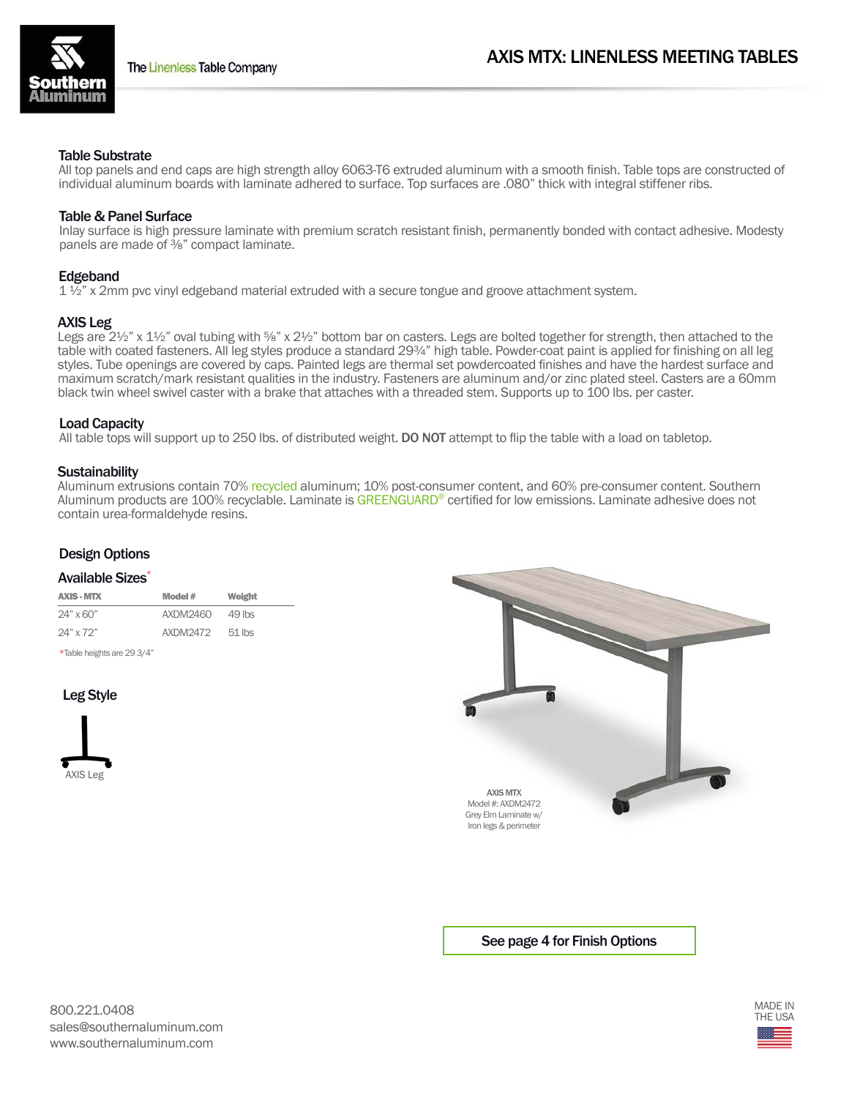# Table Substrate

All top panels and end caps are high strength alloy 6063-T6 extruded aluminum with a smooth finish. Table tops are constructed of individual aluminum boards with laminate adhered to surface. Top surfaces are .080" thick with integral stiffener ribs.

# Table & Panel Surface

Inlay surface is high pressure laminate with premium scratch resistant finish, permanently bonded with contact adhesive. Modesty panels are made of <sup>3</sup>/<sub>8</sub>" compact laminate.

# Edgeband

 $1\frac{1}{2}$  x 2mm pvc vinyl edgeband material extruded with a secure tongue and groove attachment system.

# AXIS Leg

Legs are 2½" x 1½" oval tubing with 5%" x 2½" bottom bar on casters. Legs are bolted together for strength, then attached to the table with coated fasteners. All leg styles produce a standard 29¾" high table. Powder-coat paint is applied for finishing on all leg styles. Tube openings are covered by caps. Painted legs are thermal set powdercoated finishes and have the hardest surface and maximum scratch/mark resistant qualities in the industry. Fasteners are aluminum and/or zinc plated steel. Casters are a 60mm black twin wheel swivel caster with a brake that attaches with a threaded stem. Supports up to 100 lbs. per caster.

# Load Capacity

All table tops will support up to 250 lbs. of distributed weight. DO NOT attempt to flip the table with a load on tabletop.

# **Sustainability**

Aluminum extrusions contain 70% recycled aluminum; 10% post-consumer content, and 60% pre-consumer content. Southern Aluminum products are 100% recyclable. Laminate is GREENGUARD® certified for low emissions. Laminate adhesive does not contain urea-formaldehyde resins.

# Design Options

#### Available Sizes<sup>\*</sup>

| <b>AXIS - MTX</b> | Model #  |          |
|-------------------|----------|----------|
| $24" \times 60"$  | AXDM2460 | $49$ lbs |
| 24" x 72"         | AXDM2472 | $51$ lbs |

\*Table heights are 29 3/4"

# Leg Style





# See page 4 for Finish Options